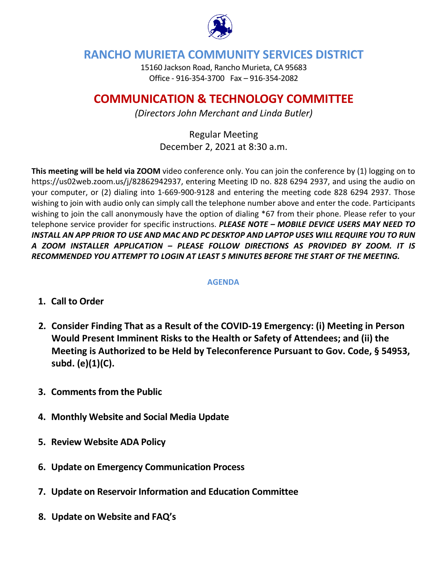

## **RANCHO MURIETA COMMUNITY SERVICES DISTRICT**

15160 Jackson Road, Rancho Murieta, CA 95683 Office - 916-354-3700 Fax – 916-354-2082

# **COMMUNICATION & TECHNOLOGY COMMITTEE**

*(Directors John Merchant and Linda Butler)*

Regular Meeting December 2, 2021 at 8:30 a.m.

**This meeting will be held via ZOOM** video conference only. You can join the conference by (1) logging on to https://us02web.zoom.us/j/82862942937, entering Meeting ID no. 828 6294 2937, and using the audio on your computer, or (2) dialing into 1-669-900-9128 and entering the meeting code 828 6294 2937. Those wishing to join with audio only can simply call the telephone number above and enter the code. Participants wishing to join the call anonymously have the option of dialing \*67 from their phone. Please refer to your telephone service provider for specific instructions. *PLEASE NOTE – MOBILE DEVICE USERS MAY NEED TO INSTALL AN APP PRIOR TO USE AND MAC AND PC DESKTOP AND LAPTOP USES WILL REQUIRE YOU TO RUN A ZOOM INSTALLER APPLICATION – PLEASE FOLLOW DIRECTIONS AS PROVIDED BY ZOOM. IT IS RECOMMENDED YOU ATTEMPT TO LOGIN AT LEAST 5 MINUTES BEFORE THE START OF THE MEETING.*

### **AGENDA**

- **1. Call to Order**
- **2. Consider Finding That as a Result of the COVID-19 Emergency: (i) Meeting in Person Would Present Imminent Risks to the Health or Safety of Attendees; and (ii) the Meeting is Authorized to be Held by Teleconference Pursuant to Gov. Code, § 54953, subd. (e)(1)(C).**
- **3. Comments from the Public**
- **4. Monthly Website and Social Media Update**
- **5. Review Website ADA Policy**
- **6. Update on Emergency Communication Process**
- **7. Update on Reservoir Information and Education Committee**
- **8. Update on Website and FAQ's**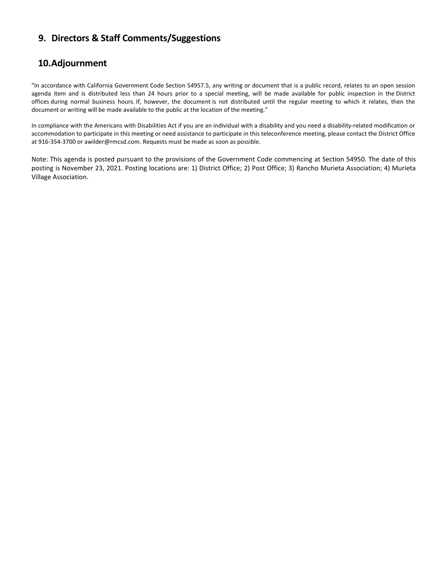## **9. Directors & Staff Comments/Suggestions**

## **10.Adjournment**

"In accordance with California Government Code Section 54957.5, any writing or document that is a public record, relates to an open session agenda item and is distributed less than 24 hours prior to a special meeting, will be made available for public inspection in the District offices during normal business hours. If, however, the document is not distributed until the regular meeting to which it relates, then the document or writing will be made available to the public at the location of the meeting."

In compliance with the Americans with Disabilities Act if you are an individual with a disability and you need a disability-related modification or accommodation to participate in this meeting or need assistance to participate in this teleconference meeting, please contact the District Office at 916-354-3700 or awilder@rmcsd.com. Requests must be made as soon as possible.

Note: This agenda is posted pursuant to the provisions of the Government Code commencing at Section 54950. The date of this posting is November 23, 2021. Posting locations are: 1) District Office; 2) Post Office; 3) Rancho Murieta Association; 4) Murieta Village Association.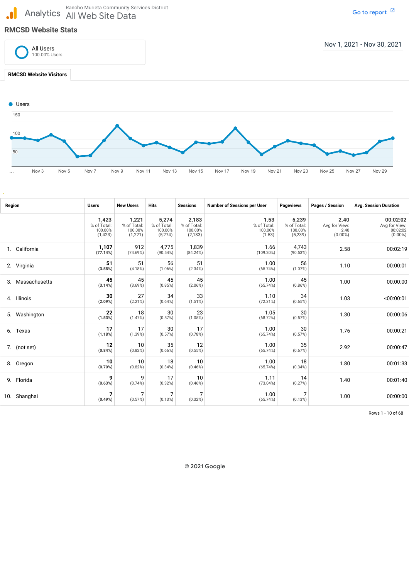Rancho Murieta Community Services District<br>Analytics All Web Site Data All Web Site Data

#### **RMCSD Website Stats**

 $\mathbf{d}$ 



… Nov 3 Nov 5 Nov 7 Nov 9 Nov 11 Nov 13 Nov 15 Nov 17 Nov 19 Nov 21 Nov 23 Nov 25 Nov 27 Nov 29

| Region |               | <b>Users</b>                               | <b>New Users</b>                           | <b>Hits</b>                                | <b>Sessions</b>                             | <b>Number of Sessions per User</b>       | <b>Pageviews</b>                           | Pages / Session                             | <b>Avg. Session Duration</b>                        |
|--------|---------------|--------------------------------------------|--------------------------------------------|--------------------------------------------|---------------------------------------------|------------------------------------------|--------------------------------------------|---------------------------------------------|-----------------------------------------------------|
|        |               | 1,423<br>% of Total:<br>100.00%<br>(1,423) | 1,221<br>% of Total:<br>100.00%<br>(1,221) | 5,274<br>% of Total:<br>100.00%<br>(5,274) | 2,183<br>% of Total:<br>100.00%<br>(2, 183) | 1.53<br>% of Total:<br>100.00%<br>(1.53) | 5,239<br>% of Total:<br>100.00%<br>(5,239) | 2.40<br>Avg for View:<br>2.40<br>$(0.00\%)$ | 00:02:02<br>Avg for View:<br>00:02:02<br>$(0.00\%)$ |
|        | 1. California | 1,107<br>(77.14%)                          | 912<br>(74.69%)                            | 4,775<br>(90.54%)                          | 1,839<br>(84.24%)                           | 1.66<br>(109.20%)                        | 4,743<br>(90.53%)                          | 2.58                                        | 00:02:19                                            |
|        | 2. Virginia   | 51<br>(3.55%)                              | 51<br>(4.18%)                              | 56<br>$(1.06\%)$                           | 51<br>(2.34%)                               | 1.00<br>(65.74%)                         | 56<br>(1.07%)                              | 1.10                                        | 00:00:01                                            |
| 3.     | Massachusetts | 45<br>(3.14%)                              | 45<br>(3.69%)                              | 45<br>(0.85%)                              | 45<br>(2.06%)                               | 1.00<br>(65.74%)                         | 45<br>(0.86%)                              | 1.00                                        | 00:00:00                                            |
|        | 4. Illinois   | 30<br>(2.09%)                              | 27<br>(2.21%)                              | 34<br>(0.64%)                              | 33<br>(1.51%)                               | 1.10<br>(72.31%)                         | 34<br>(0.65%)                              | 1.03                                        | <00:00:01                                           |
|        | 5. Washington | 22<br>(1.53%)                              | 18<br>(1.47%)                              | 30<br>(0.57%)                              | 23<br>(1.05%)                               | 1.05<br>(68.72%)                         | 30<br>(0.57%)                              | 1.30                                        | 00:00:06                                            |
| 6.     | Texas         | 17<br>(1.18%)                              | 17<br>(1.39%)                              | 30<br>(0.57%)                              | 17<br>(0.78%)                               | 1.00<br>(65.74%)                         | 30<br>(0.57%)                              | 1.76                                        | 00:00:21                                            |
|        | 7. (not set)  | 12<br>(0.84%)                              | 10<br>(0.82%)                              | 35<br>(0.66%)                              | 12<br>(0.55%)                               | 1.00<br>(65.74%)                         | 35<br>(0.67%)                              | 2.92                                        | 00:00:47                                            |
|        | 8. Oregon     | 10<br>(0.70%)                              | 10<br>(0.82%)                              | 18<br>(0.34%)                              | 10<br>$(0.46\%)$                            | 1.00<br>(65.74%)                         | 18<br>(0.34%)                              | 1.80                                        | 00:01:33                                            |
|        | 9. Florida    | 9<br>(0.63%)                               | 9<br>(0.74%)                               | 17<br>(0.32%)                              | 10<br>(0.46%)                               | 1.11<br>(73.04%)                         | 14<br>(0.27%)                              | 1.40                                        | 00:01:40                                            |
|        | 10. Shanghai  | 7<br>(0.49%)                               | (0.57%)                                    | (0.13%)                                    | 7<br>(0.32%)                                | 1.00<br>(65.74%)                         | (0.13%)                                    | 1.00                                        | 00:00:00                                            |

Rows 1 - 10 of 68

© 2021 Google

Go to [report](https://analytics.google.com/analytics/web/?rn=customReport&utm_source=pdfReportLink#/my-reports/XbAlPUX4T1yQ8OvkDAqcUw/a76265318w160503912p161704017/_r.tabId=641)  $\boxtimes$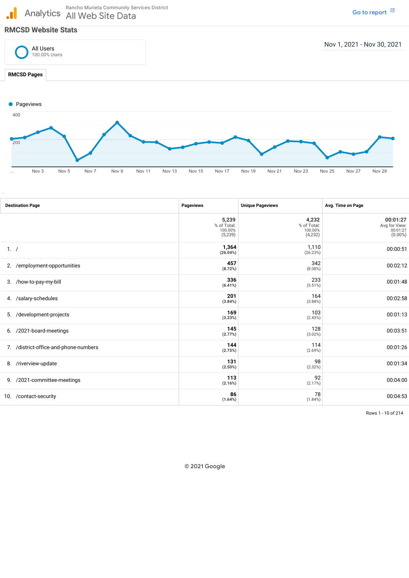Analytics All Web Site Data Rancho Murieta Community Services District

Go to [report](https://analytics.google.com/analytics/web/?rn=customReport&utm_source=pdfReportLink#/my-reports/XbAlPUX4T1yQ8OvkDAqcUw/a76265318w160503912p161704017/_r.tabId=643)  $~^\boxdot$ 

### **RMCSD Website Stats**

 $\mathbf{d}$ 



… Nov 3 Nov 5 Nov 7 Nov 9 Nov 11 Nov 13 Nov 15 Nov 17 Nov 19 Nov 21 Nov 23 Nov 25 Nov 27 Nov 29

| <b>Destination Page</b>               | <b>Pageviews</b>                           | <b>Unique Pageviews</b>                    | Avg. Time on Page                                   |
|---------------------------------------|--------------------------------------------|--------------------------------------------|-----------------------------------------------------|
|                                       | 5,239<br>% of Total:<br>100.00%<br>(5,239) | 4,232<br>% of Total:<br>100.00%<br>(4,232) | 00:01:27<br>Avg for View:<br>00:01:27<br>$(0.00\%)$ |
| 1.7                                   | 1,364<br>(26.04%)                          | 1,110<br>(26.23%)                          | 00:00:51                                            |
| /employment-opportunities<br>2.       | 457<br>(8.72%)                             | 342<br>(8.08%)                             | 00:02:12                                            |
| 3. /how-to-pay-my-bill                | 336<br>$(6.41\%)$                          | 233<br>(5.51%)                             | 00:01:48                                            |
| 4. /salary-schedules                  | 201<br>(3.84%)                             | 164<br>(3.88%)                             | 00:02:58                                            |
| /development-projects<br>5.           | 169<br>(3.23%)                             | 103<br>(2.43%)                             | 00:01:13                                            |
| 6. /2021-board-meetings               | 145<br>(2.77%)                             | 128<br>(3.02%)                             | 00:03:51                                            |
| 7. /district-office-and-phone-numbers | 144<br>(2.75%)                             | 114<br>(2.69%)                             | 00:01:26                                            |
| 8. /riverview-update                  | 131<br>(2.50%)                             | 98<br>(2.32%)                              | 00:01:34                                            |
| 9. /2021-committee-meetings           | 113<br>(2.16%)                             | 92<br>(2.17%)                              | 00:04:00                                            |
| /contact-security<br>10.              | 86<br>(1.64%)                              | 78<br>(1.84%)                              | 00:04:53                                            |

Rows 1 - 10 of 214

© 2021 Google